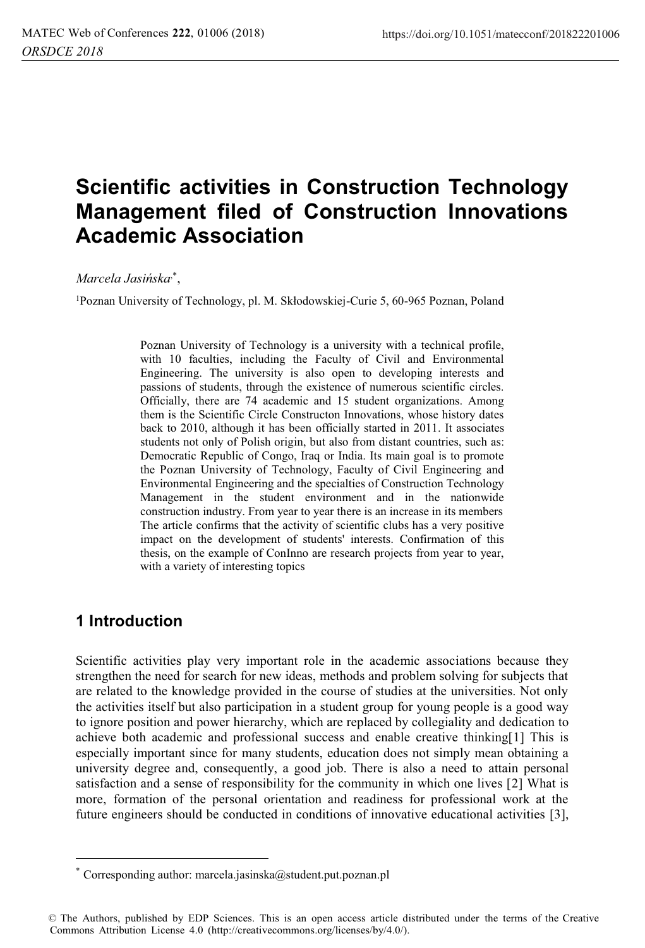# **Scientific activities in Construction Technology Management filed of Construction Innovations Academic Association**

*Marcela Jasińska*,\*,

<sup>1</sup>Poznan University of Technology, pl. M. Skłodowskiej-Curie 5, 60-965 Poznan, Poland

Poznan University of Technology is a university with a technical profile, with 10 faculties, including the Faculty of Civil and Environmental Engineering. The university is also open to developing interests and passions of students, through the existence of numerous scientific circles. Officially, there are 74 academic and 15 student organizations. Among them is the Scientific Circle Constructon Innovations, whose history dates back to 2010, although it has been officially started in 2011. It associates students not only of Polish origin, but also from distant countries, such as: Democratic Republic of Congo, Iraq or India. Its main goal is to promote the Poznan University of Technology, Faculty of Civil Engineering and Environmental Engineering and the specialties of Construction Technology Management in the student environment and in the nationwide construction industry. From year to year there is an increase in its members The article confirms that the activity of scientific clubs has a very positive impact on the development of students' interests. Confirmation of this thesis, on the example of ConInno are research projects from year to year, with a variety of interesting topics

## **1 Introduction**

 $\overline{a}$ 

Scientific activities play very important role in the academic associations because they strengthen the need for search for new ideas, methods and problem solving for subjects that are related to the knowledge provided in the course of studies at the universities. Not only the activities itself but also participation in a student group for young people is a good way to ignore position and power hierarchy, which are replaced by collegiality and dedication to achieve both academic and professional success and enable creative thinking[1] This is especially important since for many students, education does not simply mean obtaining a university degree and, consequently, a good job. There is also a need to attain personal satisfaction and a sense of responsibility for the community in which one lives [2] What is more, formation of the personal orientation and readiness for professional work at the future engineers should be conducted in conditions of innovative educational activities [3],

Corresponding author: marcela.jasinska@student.put.poznan.pl

<sup>©</sup> The Authors, published by EDP Sciences. This is an open access article distributed under the terms of the Creative Commons Attribution License 4.0 (http://creativecommons.org/licenses/by/4.0/).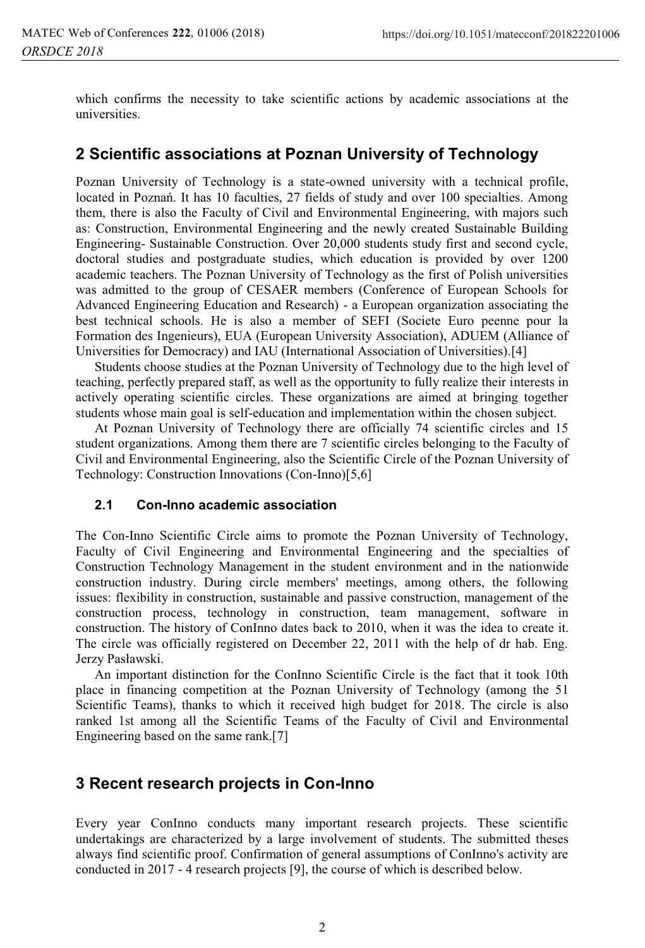which confirms the necessity to take scientific actions by academic associations at the universities.

## **2 Scientific associations at Poznan University of Technology**

Poznan University of Technology is a state-owned university with a technical profile, located in Poznań. It has 10 faculties, 27 fields of study and over 100 specialties. Among them, there is also the Faculty of Civil and Environmental Engineering, with majors such as: Construction, Environmental Engineering and the newly created Sustainable Building Engineering- Sustainable Construction. Over 20,000 students study first and second cycle, doctoral studies and postgraduate studies, which education is provided by over 1200 academic teachers. The Poznan University of Technology as the first of Polish universities was admitted to the group of CESAER members (Conference of European Schools for Advanced Engineering Education and Research) - a European organization associating the best technical schools. He is also a member of SEFI (Societe Euro peenne pour la Formation des Ingenieurs), EUA (European University Association), ADUEM (Alliance of Universities for Democracy) and IAU (International Association of Universities).[4]

Students choose studies at the Poznan University of Technology due to the high level of teaching, perfectly prepared staff, as well as the opportunity to fully realize their interests in actively operating scientific circles. These organizations are aimed at bringing together students whose main goal is self-education and implementation within the chosen subject.

At Poznan University of Technology there are officially 74 scientific circles and 15 student organizations. Among them there are 7 scientific circles belonging to the Faculty of Civil and Environmental Engineering, also the Scientific Circle of the Poznan University of Technology: Construction Innovations (Con-Inno)[5,6]

#### **2.1 Con-Inno academic association**

The Con-Inno Scientific Circle aims to promote the Poznan University of Technology, Faculty of Civil Engineering and Environmental Engineering and the specialties of Construction Technology Management in the student environment and in the nationwide construction industry. During circle members' meetings, among others, the following issues: flexibility in construction, sustainable and passive construction, management of the construction process, technology in construction, team management, software in construction. The history of ConInno dates back to 2010, when it was the idea to create it. The circle was officially registered on December 22, 2011 with the help of dr hab. Eng. Jerzy Pasławski.

An important distinction for the ConInno Scientific Circle is the fact that it took 10th place in financing competition at the Poznan University of Technology (among the 51 Scientific Teams), thanks to which it received high budget for 2018. The circle is also ranked 1st among all the Scientific Teams of the Faculty of Civil and Environmental Engineering based on the same rank.[7]

### **3 Recent research projects in Con-Inno**

Every year ConInno conducts many important research projects. These scientific undertakings are characterized by a large involvement of students. The submitted theses always find scientific proof. Confirmation of general assumptions of ConInno's activity are conducted in 2017 - 4 research projects [9], the course of which is described below.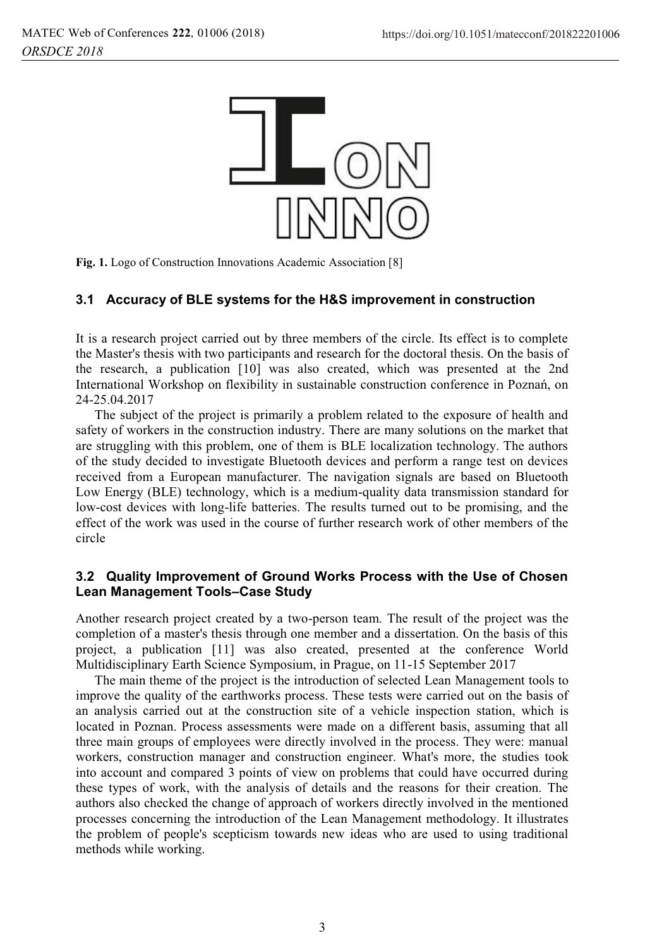

**Fig. 1.** Logo of Construction Innovations Academic Association [8]

#### **3.1 Accuracy of BLE systems for the H&S improvement in construction**

It is a research project carried out by three members of the circle. Its effect is to complete the Master's thesis with two participants and research for the doctoral thesis. On the basis of the research, a publication [10] was also created, which was presented at the 2nd International Workshop on flexibility in sustainable construction conference in Poznań, on 24-25.04.2017

The subject of the project is primarily a problem related to the exposure of health and safety of workers in the construction industry. There are many solutions on the market that are struggling with this problem, one of them is BLE localization technology. The authors of the study decided to investigate Bluetooth devices and perform a range test on devices received from a European manufacturer. The navigation signals are based on Bluetooth Low Energy (BLE) technology, which is a medium-quality data transmission standard for low-cost devices with long-life batteries. The results turned out to be promising, and the effect of the work was used in the course of further research work of other members of the circle

#### **3.2 Quality Improvement of Ground Works Process with the Use of Chosen Lean Management Tools–Case Study**

Another research project created by a two-person team. The result of the project was the completion of a master's thesis through one member and a dissertation. On the basis of this project, a publication [11] was also created, presented at the conference World Multidisciplinary Earth Science Symposium, in Prague, on 11-15 September 2017

The main theme of the project is the introduction of selected Lean Management tools to improve the quality of the earthworks process. These tests were carried out on the basis of an analysis carried out at the construction site of a vehicle inspection station, which is located in Poznan. Process assessments were made on a different basis, assuming that all three main groups of employees were directly involved in the process. They were: manual workers, construction manager and construction engineer. What's more, the studies took into account and compared 3 points of view on problems that could have occurred during these types of work, with the analysis of details and the reasons for their creation. The authors also checked the change of approach of workers directly involved in the mentioned processes concerning the introduction of the Lean Management methodology. It illustrates the problem of people's scepticism towards new ideas who are used to using traditional methods while working.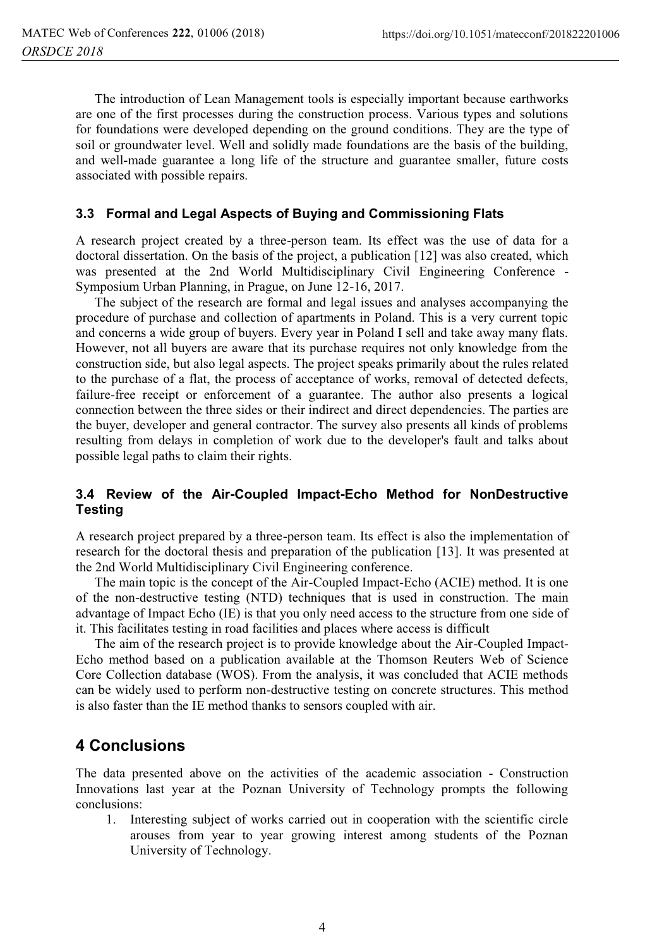The introduction of Lean Management tools is especially important because earthworks are one of the first processes during the construction process. Various types and solutions for foundations were developed depending on the ground conditions. They are the type of soil or groundwater level. Well and solidly made foundations are the basis of the building, and well-made guarantee a long life of the structure and guarantee smaller, future costs associated with possible repairs.

#### **3.3 Formal and Legal Aspects of Buying and Commissioning Flats**

A research project created by a three-person team. Its effect was the use of data for a doctoral dissertation. On the basis of the project, a publication [12] was also created, which was presented at the 2nd World Multidisciplinary Civil Engineering Conference - Symposium Urban Planning, in Prague, on June 12-16, 2017.

The subject of the research are formal and legal issues and analyses accompanying the procedure of purchase and collection of apartments in Poland. This is a very current topic and concerns a wide group of buyers. Every year in Poland I sell and take away many flats. However, not all buyers are aware that its purchase requires not only knowledge from the construction side, but also legal aspects. The project speaks primarily about the rules related to the purchase of a flat, the process of acceptance of works, removal of detected defects, failure-free receipt or enforcement of a guarantee. The author also presents a logical connection between the three sides or their indirect and direct dependencies. The parties are the buyer, developer and general contractor. The survey also presents all kinds of problems resulting from delays in completion of work due to the developer's fault and talks about possible legal paths to claim their rights.

#### **3.4 Review of the Air-Coupled Impact-Echo Method for NonDestructive Testing**

A research project prepared by a three-person team. Its effect is also the implementation of research for the doctoral thesis and preparation of the publication [13]. It was presented at the 2nd World Multidisciplinary Civil Engineering conference.

The main topic is the concept of the Air-Coupled Impact-Echo (ACIE) method. It is one of the non-destructive testing (NTD) techniques that is used in construction. The main advantage of Impact Echo (IE) is that you only need access to the structure from one side of it. This facilitates testing in road facilities and places where access is difficult

The aim of the research project is to provide knowledge about the Air-Coupled Impact-Echo method based on a publication available at the Thomson Reuters Web of Science Core Collection database (WOS). From the analysis, it was concluded that ACIE methods can be widely used to perform non-destructive testing on concrete structures. This method is also faster than the IE method thanks to sensors coupled with air.

# **4 Conclusions**

The data presented above on the activities of the academic association - Construction Innovations last year at the Poznan University of Technology prompts the following conclusions:

1. Interesting subject of works carried out in cooperation with the scientific circle arouses from year to year growing interest among students of the Poznan University of Technology.